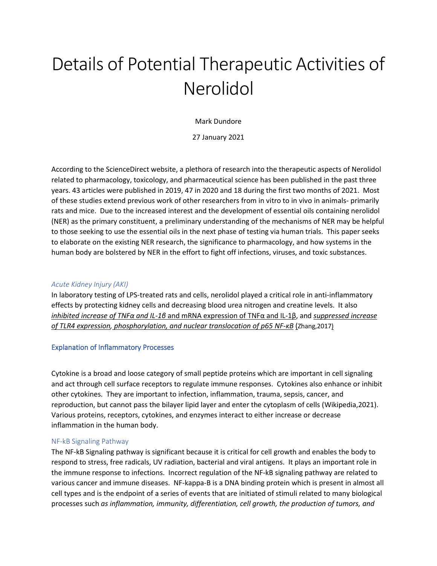# Details of Potential Therapeutic Activities of Nerolidol

Mark Dundore

27 January 2021

According to the ScienceDirect website, a plethora of research into the therapeutic aspects of Nerolidol related to pharmacology, toxicology, and pharmaceutical science has been published in the past three years. 43 articles were published in 2019, 47 in 2020 and 18 during the first two months of 2021. Most of these studies extend previous work of other researchers from in vitro to in vivo in animals- primarily rats and mice. Due to the increased interest and the development of essential oils containing nerolidol (NER) as the primary constituent, a preliminary understanding of the mechanisms of NER may be helpful to those seeking to use the essential oils in the next phase of testing via human trials. This paper seeks to elaborate on the existing NER research, the significance to pharmacology, and how systems in the human body are bolstered by NER in the effort to fight off infections, viruses, and toxic substances.

# *Acute Kidney Injury (AKI)*

In laboratory testing of LPS-treated rats and cells, nerolidol played a critical role in anti-inflammatory effects by protecting kidney cells and decreasing blood urea nitrogen and creatine levels. It also *inhibited increase of TNFα and IL-1β* and mRNA expression of TNFα and IL-1β, and *suppressed increase of TLR4 expression, phosphorylation, and nuclear translocation of p65 NF-κB* (Zhang,2017)

# Explanation of Inflammatory Processes

Cytokine is a broad and loose category of small peptide proteins which are important in cell signaling and act through cell surface receptors to regulate immune responses. Cytokines also enhance or inhibit other cytokines. They are important to infection, inflammation, trauma, sepsis, cancer, and reproduction, but cannot pass the bilayer lipid layer and enter the cytoplasm of cells (Wikipedia,2021). Various proteins, receptors, cytokines, and enzymes interact to either increase or decrease inflammation in the human body.

# NF-kB Signaling Pathway

The NF-kB Signaling pathway is significant because it is critical for cell growth and enables the body to respond to stress, free radicals, UV radiation, bacterial and viral antigens. It plays an important role in the immune response to infections. Incorrect regulation of the NF-kB signaling pathway are related to various cancer and immune diseases. NF-kappa-B is a DNA binding protein which is present in almost all cell types and is the endpoint of a series of events that are initiated of stimuli related to many biological processes such *as inflammation, immunity, differentiation, cell growth, the production of tumors, and*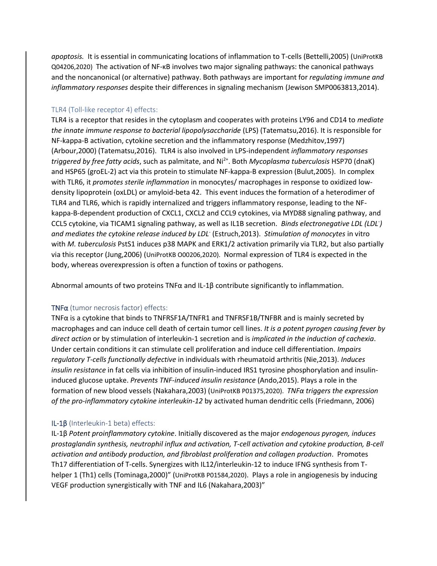*apoptosis.* It is essential in communicating locations of inflammation to T-cells (Bettelli,2005) (UniProtKB Q04206,2020) The activation of NF-κB involves two major signaling pathways: the canonical pathways and the noncanonical (or alternative) pathway. Both pathways are important for *regulating immune and inflammatory responses* despite their differences in signaling mechanism (Jewison SMP0063813,2014).

# TLR4 (Toll-like receptor 4) effects:

TLR4 is a receptor that resides in the cytoplasm and cooperates with proteins LY96 and CD14 to *mediate the innate immune response to bacterial lipopolysaccharide* (LPS) (Tatematsu,2016). It is responsible for NF-kappa-B activation, cytokine secretion and the inflammatory response (Medzhitov,1997) (Arbour,2000) (Tatematsu,2016). TLR4 is also involved in LPS-independent *inflammatory responses triggered by free fatty acids*, such as palmitate, and Ni2+. Both *Mycoplasma tuberculosis* HSP70 (dnaK) and HSP65 (groEL-2) act via this protein to stimulate NF-kappa-B expression (Bulut,2005). In complex with TLR6, it *promotes sterile inflammation* in monocytes/ macrophages in response to oxidized lowdensity lipoprotein (oxLDL) or amyloid-beta 42. This event induces the formation of a heterodimer of TLR4 and TLR6, which is rapidly internalized and triggers inflammatory response, leading to the NFkappa-B-dependent production of CXCL1, CXCL2 and CCL9 cytokines, via MYD88 signaling pathway, and CCL5 cytokine, via TICAM1 signaling pathway, as well as IL1B secretion. *Binds electronegative LDL (LDL- ) and mediates the cytokine release induced by LDL*- (Estruch,2013). *Stimulation of monocytes* in vitro with *M. tuberculosis* PstS1 induces p38 MAPK and ERK1/2 activation primarily via TLR2, but also partially via this receptor (Jung,2006) (UniProtKB O00206,2020). Normal expression of TLR4 is expected in the body, whereas overexpression is often a function of toxins or pathogens.

Abnormal amounts of two proteins TNF $\alpha$  and IL-1 $\beta$  contribute significantly to inflammation.

# TNFα (tumor necrosis factor) effects:

TNFα is a cytokine that binds to TNFRSF1A/TNFR1 and TNFRSF1B/TNFBR and is mainly secreted by macrophages and can induce cell death of certain tumor cell lines. *It is a potent pyrogen causing fever by direct action* or by stimulation of interleukin-1 secretion and is *implicated in the induction of cachexia*. Under certain conditions it can stimulate cell proliferation and induce cell differentiation. *Impairs regulatory T-cells functionally defective* in individuals with rheumatoid arthritis (Nie,2013). *Induces insulin resistance* in fat cells via inhibition of insulin-induced IRS1 tyrosine phosphorylation and insulininduced glucose uptake. *Prevents TNF-induced insulin resistance* (Ando,2015). Plays a role in the formation of new blood vessels (Nakahara,2003) (UniProtKB P01375,2020). *TNFα triggers the expression of the pro-inflammatory cytokine interleukin-12* by activated human dendritic cells (Friedmann, 2006)

# IL-1β (Interleukin-1 beta) effects:

IL-1β *Potent proinflammatory cytokine*. Initially discovered as the major *endogenous pyrogen, induces prostaglandin synthesis, neutrophil influx and activation, T-cell activation and cytokine production, B-cell activation and antibody production, and fibroblast proliferation and collagen production*. Promotes Th17 differentiation of T-cells. Synergizes with IL12/interleukin-12 to induce IFNG synthesis from Thelper 1 (Th1) cells (Tominaga,2000)" (UniProtKB P01584,2020). Plays a role in angiogenesis by inducing VEGF production synergistically with TNF and IL6 (Nakahara,2003)"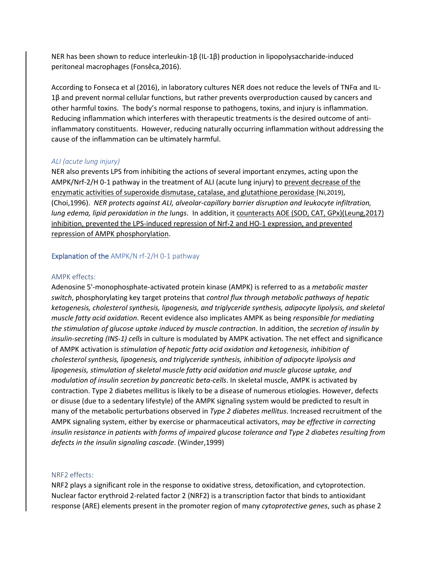NER has been shown to reduce interleukin-1β (IL-1β) production in lipopolysaccharide-induced peritoneal macrophages (Fonsêca,2016).

According to Fonseca et al (2016), in laboratory cultures NER does not reduce the levels of TNFα and IL-1β and prevent normal cellular functions, but rather prevents overproduction caused by cancers and other harmful toxins. The body's normal response to pathogens, toxins, and injury is inflammation. Reducing inflammation which interferes with therapeutic treatments is the desired outcome of antiinflammatory constituents. However, reducing naturally occurring inflammation without addressing the cause of the inflammation can be ultimately harmful.

# *ALI (acute lung injury)*

NER also prevents LPS from inhibiting the actions of several important enzymes, acting upon the AMPK/Nrf-2/H 0-1 pathway in the treatment of ALI (acute lung injury) to prevent decrease of the enzymatic activities of superoxide dismutase, catalase, and glutathione peroxidase (Ni,2019), (Choi,1996). *NER protects against ALI, alveolar-capillary barrier disruption and leukocyte infiltration, lung edema, lipid peroxidation in the lungs*. In addition, it counteracts AOE (SOD, CAT, GPx)(Leung,2017) inhibition, prevented the LPS-induced repression of Nrf-2 and HO-1 expression, and prevented repression of AMPK phosphorylation.

#### Explanation of the AMPK/N rf-2/H 0-1 pathway

#### AMPK effects:

Adenosine 5'-monophosphate-activated protein kinase (AMPK) is referred to as a *metabolic master switch*, phosphorylating key target proteins that *control flux through metabolic pathways of hepatic ketogenesis, cholesterol synthesis, lipogenesis, and triglyceride synthesis, adipocyte lipolysis, and skeletal muscle fatty acid oxidation*. Recent evidence also implicates AMPK as being *responsible for mediating the stimulation of glucose uptake induced by muscle contraction*. In addition, the *secretion of insulin by insulin-secreting (INS-1) cells* in culture is modulated by AMPK activation. The net effect and significance of AMPK activation is *stimulation of hepatic fatty acid oxidation and ketogenesis, inhibition of cholesterol synthesis, lipogenesis, and triglyceride synthesis, inhibition of adipocyte lipolysis and lipogenesis, stimulation of skeletal muscle fatty acid oxidation and muscle glucose uptake, and modulation of insulin secretion by pancreatic beta-cells*. In skeletal muscle, AMPK is activated by contraction. Type 2 diabetes mellitus is likely to be a disease of numerous etiologies. However, defects or disuse (due to a sedentary lifestyle) of the AMPK signaling system would be predicted to result in many of the metabolic perturbations observed in *Type 2 diabetes mellitus*. Increased recruitment of the AMPK signaling system, either by exercise or pharmaceutical activators, *may be effective in correcting insulin resistance in patients with forms of impaired glucose tolerance and Type 2 diabetes resulting from defects in the insulin signaling cascade*. (Winder,1999)

#### NRF2 effects:

NRF2 plays a significant role in the response to oxidative stress, detoxification, and cytoprotection. Nuclear factor erythroid 2-related factor 2 (NRF2) is a transcription factor that binds to antioxidant response (ARE) elements present in the promoter region of many *cytoprotective genes*, such as phase 2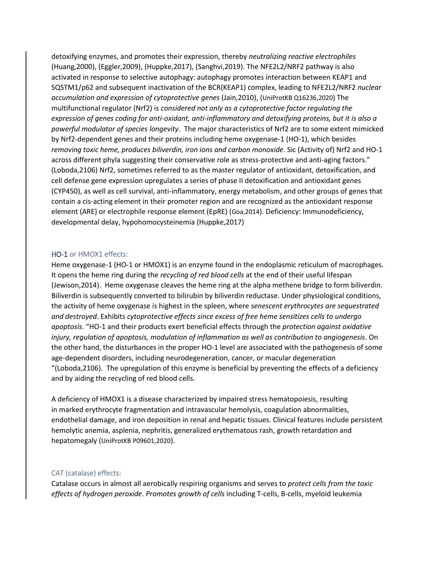detoxifying enzymes, and promotes their expression, thereby *neutralizing reactive electrophiles* (Huang,2000), (Eggler,2009), (Huppke,2017), (Sanghvi,2019). The NFE2L2/NRF2 pathway is also activated in response to selective autophagy: autophagy promotes interaction between KEAP1 and SQSTM1/p62 and subsequent inactivation of the BCR(KEAP1) complex, leading to NFE2L2/NRF2 *nuclear accumulation and expression of cytoprotective genes* (Jain,2010), (UniProtKB Q16236,2020) The multifunctional regulator (Nrf2) is *considered not only as a cytoprotective factor regulating the expression of genes coding for anti-oxidant, anti-inflammatory and detoxifying proteins, but it is also a powerful modulator of species longevity*. The major characteristics of Nrf2 are to some extent mimicked by Nrf2-dependent genes and their proteins including heme oxygenase-1 (HO-1), which besides *removing toxic heme, produces biliverdin, iron ions and carbon monoxide*. Sic (Activity of) Nrf2 and HO-1 across different phyla suggesting their conservative role as stress-protective and anti-aging factors." (Loboda,2106) Nrf2, sometimes referred to as the master regulator of antioxidant, detoxification, and cell defense gene expression upregulates a series of phase II detoxification and antioxidant genes (CYP450), as well as cell survival, anti-inflammatory, energy metabolism, and other groups of genes that contain a cis-acting element in their promoter region and are recognized as the antioxidant response element (ARE) or electrophile response element (EpRE) (Goa,2014). Deficiency: Immunodeficiency, developmental delay, hypohomocysteinemia (Huppke,2017)

## HO-1 or HMOX1 effects:

Heme oxygenase-1 (HO-1 or HMOX1) is an enzyme found in the endoplasmic reticulum of macrophages. It opens the heme ring during the *recycling of red blood cells* at the end of their useful lifespan (Jewison,2014). Heme oxygenase cleaves the heme ring at the alpha methene bridge to form biliverdin. Biliverdin is subsequently converted to bilirubin by biliverdin reductase. Under physiological conditions, the activity of heme oxygenase is highest in the spleen, where *senescent erythrocytes are sequestrated and destroyed*. Exhibits *cytoprotective effects since excess of free heme sensitizes cells to undergo apoptosis*. "HO-1 and their products exert beneficial effects through the *protection against oxidative injury, regulation of apoptosis, modulation of inflammation as well as contribution to angiogenesis*. On the other hand, the disturbances in the proper HO-1 level are associated with the pathogenesis of some age-dependent disorders, including neurodegeneration, cancer, or macular degeneration "(Loboda,2106). The upregulation of this enzyme is beneficial by preventing the effects of a deficiency and by aiding the recycling of red blood cells.

A deficiency of HMOX1 is a disease characterized by impaired stress hematopoiesis, resulting in marked erythrocyte fragmentation and intravascular hemolysis, coagulation abnormalities, endothelial damage, and iron deposition in renal and hepatic tissues. Clinical features include persistent hemolytic anemia, asplenia, nephritis, generalized erythematous rash, growth retardation and hepatomegaly (UniProtKB P09601,2020).

## CAT (catalase) effects:

Catalase occurs in almost all aerobically respiring organisms and serves to *protect cells from the toxic effects of hydrogen peroxide*. *Promotes growth of cells* including T-cells, B-cells, myeloid leukemia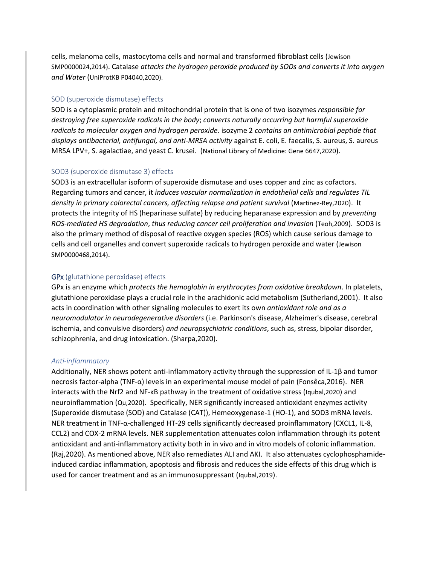cells, melanoma cells, mastocytoma cells and normal and transformed fibroblast cells (Jewison SMP0000024,2014). Catalase *attacks the hydrogen peroxide produced by SODs and converts it into oxygen and Water* (UniProtKB P04040,2020).

#### SOD (superoxide dismutase) effects

SOD is a cytoplasmic protein and mitochondrial protein that is one of two isozymes *responsible for destroying free superoxide radicals in the body*; *converts naturally occurring but harmful superoxide radicals to molecular oxygen and hydrogen peroxide*. isozyme 2 *contains an antimicrobial peptide that displays antibacterial, antifungal, and anti-MRSA activity* against E. coli, E. faecalis, S. aureus, S. aureus MRSA LPV+, S. agalactiae, and yeast C. krusei. (National Library of Medicine: Gene 6647,2020).

#### SOD3 (superoxide dismutase 3) effects

SOD3 is an extracellular isoform of superoxide dismutase and uses copper and zinc as cofactors. Regarding tumors and cancer, it *induces vascular normalization in endothelial cells and regulates TIL density in primary colorectal cancers, affecting relapse and patient survival* (Martinez-Rey,2020). It protects the integrity of HS (heparinase sulfate) by reducing heparanase expression and by *preventing ROS-mediated HS degradation*, *thus reducing cancer cell proliferation and invasion* (Teoh,2009). SOD3 is also the primary method of disposal of reactive oxygen species (ROS) which cause serious damage to cells and cell organelles and convert superoxide radicals to hydrogen peroxide and water (Jewison SMP0000468,2014).

#### GPx (glutathione peroxidase) effects

GPx is an enzyme which *protects the hemoglobin in erythrocytes from oxidative breakdown*. In platelets, glutathione peroxidase plays a crucial role in the arachidonic acid metabolism (Sutherland,2001). It also acts in coordination with other signaling molecules to exert its own *antioxidant role and as a neuromodulator in neurodegenerative disorders* (i.e. Parkinson's disease, Alzheimer's disease, cerebral ischemia, and convulsive disorders) *and neuropsychiatric conditions*, such as, stress, bipolar disorder, schizophrenia, and drug intoxication. (Sharpa,2020).

## *Anti-inflammatory*

Additionally, NER shows potent anti-inflammatory activity through the suppression of IL-1β and tumor necrosis factor-alpha (TNF-α) levels in an experimental mouse model of pain (Fonsêca,2016). NER interacts with the Nrf2 and NF-κB pathway in the treatment of oxidative stress (Iqubal,2020) and neuroinflammation (Qu,2020). Specifically, NER significantly increased antioxidant enzymes activity (Superoxide dismutase (SOD) and Catalase (CAT)), Hemeoxygenase-1 (HO-1), and SOD3 mRNA levels. NER treatment in TNF-α-challenged HT-29 cells significantly decreased proinflammatory (CXCL1, IL-8, CCL2) and COX-2 mRNA levels. NER supplementation attenuates colon inflammation through its potent antioxidant and anti-inflammatory activity both in in vivo and in vitro models of colonic inflammation. (Raj,2020). As mentioned above, NER also remediates ALI and AKI. It also attenuates cyclophosphamideinduced cardiac inflammation, apoptosis and fibrosis and reduces the side effects of this drug which is used for cancer treatment and as an immunosuppressant (Iqubal,2019).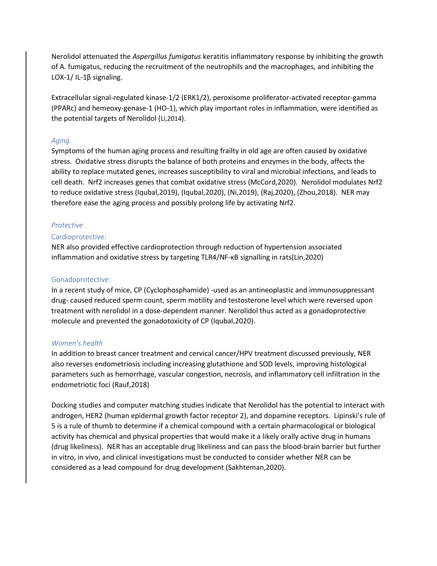Nerolidol attenuated the *Aspergillus fumigatus* keratitis inflammatory response by inhibiting the growth of A. fumigatus, reducing the recruitment of the neutrophils and the macrophages, and inhibiting the LOX-1/ IL-1β signaling.

Extracellular signal-regulated kinase-1/2 (ERK1/2), peroxisome proliferator-activated receptor-gamma (PPARc) and hemeoxy-genase-1 (HO-1), which play important roles in inflammation, were identified as the potential targets of Nerolidol (Li,2014).

# *Aging*

Symptoms of the human aging process and resulting frailty in old age are often caused by oxidative stress. Oxidative stress disrupts the balance of both proteins and enzymes in the body, affects the ability to replace mutated genes, increases susceptibility to viral and microbial infections, and leads to cell death. Nrf2 increases genes that combat oxidative stress (McCord,2020). Nerolidol modulates Nrf2 to reduce oxidative stress (Iqubal,2019), (Iqubal,2020), (Ni,2019), (Raj,2020), (Zhou,2018). NER may therefore ease the aging process and possibly prolong life by activating Nrf2.

# *Protective*

# Cardioprotective:

NER also provided effective cardioprotection through reduction of hypertension associated inflammation and oxidative stress by targeting TLR4/NF-κB signalling in rats(Lin,2020)

# Gonadoprotective:

In a recent study of mice, CP (Cyclophosphamide) -used as an antineoplastic and immunosuppressant drug- caused reduced sperm count, sperm motility and testosterone level which were reversed upon treatment with nerolidol in a dose-dependent manner. Nerolidol thus acted as a gonadoprotective molecule and prevented the gonadotoxicity of CP (Iqubal,2020).

## *Women's health*

In addition to breast cancer treatment and cervical cancer/HPV treatment discussed previously, NER also reverses endometriosis including increasing glutathione and SOD levels, improving histological parameters such as hemorrhage, vascular congestion, necrosis, and inflammatory cell infiltration in the endometriotic foci (Rauf,2018)

Docking studies and computer matching studies indicate that Nerolidol has the potential to interact with androgen, HER2 (human epidermal growth factor receptor 2), and dopamine receptors. Lipinski's rule of 5 is a rule of thumb to determine if a chemical compound with a certain pharmacological or biological activity has chemical and physical properties that would make it a likely orally active drug in humans (drug likeliness). NER has an acceptable drug likeliness and can pass the blood-brain barrier but further in vitro, in vivo, and clinical investigations must be conducted to consider whether NER can be considered as a lead compound for drug development (Sakhteman,2020).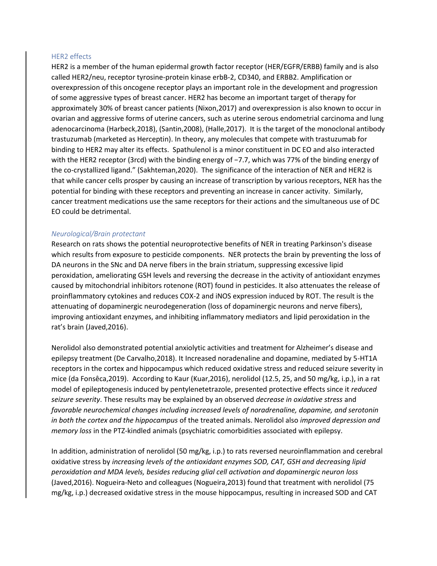## HER2 effects

HER2 is a member of the human epidermal growth factor receptor (HER/EGFR/ERBB) family and is also called HER2/neu, receptor tyrosine-protein kinase erbB-2, CD340, and ERBB2. Amplification or overexpression of this oncogene receptor plays an important role in the development and progression of some aggressive types of breast cancer. HER2 has become an important target of therapy for approximately 30% of breast cancer patients (Nixon,2017) and overexpression is also known to occur in ovarian and aggressive forms of uterine cancers, such as uterine serous endometrial carcinoma and lung adenocarcinoma (Harbeck,2018), (Santin,2008), (Halle,2017). It is the target of the monoclonal antibody trastuzumab (marketed as Herceptin). In theory, any molecules that compete with trastuzumab for binding to HER2 may alter its effects. Spathulenol is a minor constituent in DC EO and also interacted with the HER2 receptor (3rcd) with the binding energy of −7.7, which was 77% of the binding energy of the co-crystallized ligand." (Sakhteman,2020). The significance of the interaction of NER and HER2 is that while cancer cells prosper by causing an increase of transcription by various receptors, NER has the potential for binding with these receptors and preventing an increase in cancer activity. Similarly, cancer treatment medications use the same receptors for their actions and the simultaneous use of DC EO could be detrimental.

# *Neurological/Brain protectant*

Research on rats shows the potential neuroprotective benefits of NER in treating Parkinson's disease which results from exposure to pesticide components. NER protects the brain by preventing the loss of DA neurons in the SNc and DA nerve fibers in the brain striatum, suppressing excessive lipid peroxidation, ameliorating GSH levels and reversing the decrease in the activity of antioxidant enzymes caused by mitochondrial inhibitors rotenone (ROT) found in pesticides. It also attenuates the release of proinflammatory cytokines and reduces COX-2 and iNOS expression induced by ROT. The result is the attenuating of dopaminergic neurodegeneration (loss of dopaminergic neurons and nerve fibers), improving antioxidant enzymes, and inhibiting inflammatory mediators and lipid peroxidation in the rat's brain (Javed,2016).

Nerolidol also demonstrated potential anxiolytic activities and treatment for Alzheimer's disease and epilepsy treatment (De Carvalho,2018). It Increased noradenaline and dopamine, mediated by 5-HT1A receptors in the cortex and hippocampus which reduced oxidative stress and reduced seizure severity in mice (da Fonsêca,2019). According to Kaur (Kuar,2016), nerolidol (12.5, 25, and 50 mg/kg, i.p.), in a rat model of epileptogenesis induced by pentylenetetrazole, presented protective effects since it *reduced seizure severity*. These results may be explained by an observed *decrease in oxidative stress* and *favorable neurochemical changes including increased levels of noradrenaline, dopamine, and serotonin in both the cortex and the hippocampus* of the treated animals. Nerolidol also *improved depression and memory loss* in the PTZ-kindled animals (psychiatric comorbidities associated with epilepsy.

In addition, administration of nerolidol (50 mg/kg, i.p.) to rats reversed neuroinflammation and cerebral oxidative stress by *increasing levels of the antioxidant enzymes SOD, CAT, GSH and decreasing lipid peroxidation and MDA levels, besides reducing glial cell activation and dopaminergic neuron loss* (Javed,2016). Nogueira-Neto and colleagues (Nogueira,2013) found that treatment with nerolidol (75 mg/kg, i.p.) decreased oxidative stress in the mouse hippocampus, resulting in increased SOD and CAT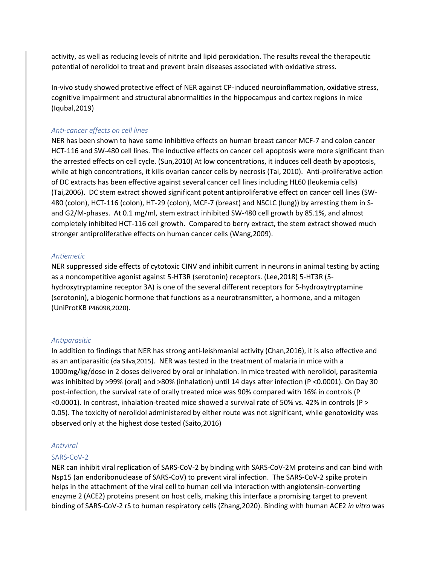activity, as well as reducing levels of nitrite and lipid peroxidation. The results reveal the therapeutic potential of nerolidol to treat and prevent brain diseases associated with oxidative stress.

In-vivo study showed protective effect of NER against CP-induced neuroinflammation, oxidative stress, cognitive impairment and structural abnormalities in the hippocampus and cortex regions in mice (Iqubal,2019)

## *Anti-cancer effects on cell lines*

NER has been shown to have some inhibitive effects on human breast cancer MCF-7 and colon cancer HCT-116 and SW-480 cell lines. The inductive effects on cancer cell apoptosis were more significant than the arrested effects on cell cycle. (Sun,2010) At low concentrations, it induces cell death by apoptosis, while at high concentrations, it kills ovarian cancer cells by necrosis (Tai, 2010). Anti-proliferative action of DC extracts has been effective against several cancer cell lines including HL60 (leukemia cells) (Tai,2006). DC stem extract showed significant potent antiproliferative effect on cancer cell lines (SW-480 (colon), HCT-116 (colon), HT-29 (colon), MCF-7 (breast) and NSCLC (lung)) by arresting them in Sand G2/M-phases. At 0.1 mg/ml, stem extract inhibited SW-480 cell growth by 85.1%, and almost completely inhibited HCT-116 cell growth. Compared to berry extract, the stem extract showed much stronger antiproliferative effects on human cancer cells (Wang,2009).

### *Antiemetic*

NER suppressed side effects of cytotoxic CINV and inhibit current in neurons in animal testing by acting as a noncompetitive agonist against 5-HT3R (serotonin) receptors. (Lee,2018) 5-HT3R (5 hydroxytryptamine receptor 3A) is one of the several different receptors for 5-hydroxytryptamine (serotonin), a biogenic hormone that functions as a neurotransmitter, a hormone, and a mitogen (UniProtKB P46098,2020).

## *Antiparasitic*

In addition to findings that NER has strong anti-leishmanial activity (Chan,2016), it is also effective and as an antiparasitic (da Silva,2015). NER was tested in the treatment of malaria in mice with a 1000mg/kg/dose in 2 doses delivered by oral or inhalation. In mice treated with nerolidol, parasitemia was inhibited by >99% (oral) and >80% (inhalation) until 14 days after infection (P <0.0001). On Day 30 post-infection, the survival rate of orally treated mice was 90% compared with 16% in controls (P <0.0001). In contrast, inhalation-treated mice showed a survival rate of 50% vs. 42% in controls (P > 0.05). The toxicity of nerolidol administered by either route was not significant, while genotoxicity was observed only at the highest dose tested (Saito,2016)

## *Antiviral*

## SARS-CoV-2

NER can inhibit viral replication of SARS-CoV-2 by binding with SARS-CoV-2M proteins and can bind with Nsp15 (an endoribonuclease of SARS-CoV) to prevent viral infection. The SARS-CoV-2 spike protein helps in the attachment of the viral cell to human cell via interaction with angiotensin-converting enzyme 2 (ACE2) proteins present on host cells, making this interface a promising target to prevent binding of SARS-CoV-2 rS to human respiratory cells (Zhang,2020). Binding with human ACE2 *in vitro* was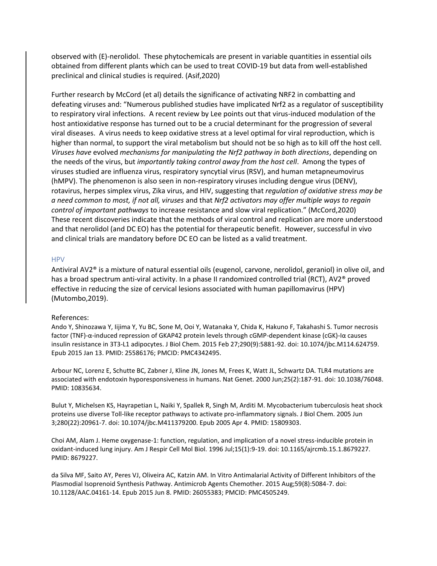observed with (E)-nerolidol. These phytochemicals are present in variable quantities in essential oils obtained from different plants which can be used to treat COVID-19 but data from well-established preclinical and clinical studies is required. (Asif,2020)

Further research by McCord (et al) details the significance of activating NRF2 in combatting and defeating viruses and: "Numerous published studies have implicated Nrf2 as a regulator of susceptibility to respiratory viral infections. A recent review by Lee points out that virus-induced modulation of the host antioxidative response has turned out to be a crucial determinant for the progression of several viral diseases. A virus needs to keep oxidative stress at a level optimal for viral reproduction, which is higher than normal, to support the viral metabolism but should not be so high as to kill off the host cell. *Viruses have* evolved *mechanisms for manipulating the Nrf2 pathway in both directions*, depending on the needs of the virus, but *importantly taking control away from the host cell*. Among the types of viruses studied are influenza virus, respiratory syncytial virus (RSV), and human metapneumovirus (hMPV). The phenomenon is also seen in non-respiratory viruses including dengue virus (DENV), rotavirus, herpes simplex virus, Zika virus, and HIV, suggesting that *regulation of oxidative stress may be a need common to most, if not all, viruses* and that *Nrf2 activators may offer multiple ways to regain control of important pathways* to increase resistance and slow viral replication." (McCord,2020) These recent discoveries indicate that the methods of viral control and replication are more understood and that nerolidol (and DC EO) has the potential for therapeutic benefit. However, successful in vivo and clinical trials are mandatory before DC EO can be listed as a valid treatment.

### HPV

Antiviral AV2® is a mixture of natural essential oils (eugenol, carvone, nerolidol, geraniol) in olive oil, and has a broad spectrum anti-viral activity. In a phase II randomized controlled trial (RCT), AV2<sup>®</sup> proved effective in reducing the size of cervical lesions associated with human papillomavirus (HPV) (Mutombo,2019).

#### References:

Ando Y, Shinozawa Y, Iijima Y, Yu BC, Sone M, Ooi Y, Watanaka Y, Chida K, Hakuno F, Takahashi S. Tumor necrosis factor (TNF)-α-induced repression of GKAP42 protein levels through cGMP-dependent kinase (cGK)-Iα causes insulin resistance in 3T3-L1 adipocytes. J Biol Chem. 2015 Feb 27;290(9):5881-92. doi: 10.1074/jbc.M114.624759. Epub 2015 Jan 13. PMID: 25586176; PMCID: PMC4342495.

Arbour NC, Lorenz E, Schutte BC, Zabner J, Kline JN, Jones M, Frees K, Watt JL, Schwartz DA. TLR4 mutations are associated with endotoxin hyporesponsiveness in humans. Nat Genet. 2000 Jun;25(2):187-91. doi: 10.1038/76048. PMID: 10835634.

Bulut Y, Michelsen KS, Hayrapetian L, Naiki Y, Spallek R, Singh M, Arditi M. Mycobacterium tuberculosis heat shock proteins use diverse Toll-like receptor pathways to activate pro-inflammatory signals. J Biol Chem. 2005 Jun 3;280(22):20961-7. doi: 10.1074/jbc.M411379200. Epub 2005 Apr 4. PMID: 15809303.

Choi AM, Alam J. Heme oxygenase-1: function, regulation, and implication of a novel stress-inducible protein in oxidant-induced lung injury. Am J Respir Cell Mol Biol. 1996 Jul;15(1):9-19. doi: 10.1165/ajrcmb.15.1.8679227. PMID: 8679227.

da Silva MF, Saito AY, Peres VJ, Oliveira AC, Katzin AM. In Vitro Antimalarial Activity of Different Inhibitors of the Plasmodial Isoprenoid Synthesis Pathway. Antimicrob Agents Chemother. 2015 Aug;59(8):5084-7. doi: 10.1128/AAC.04161-14. Epub 2015 Jun 8. PMID: 26055383; PMCID: PMC4505249.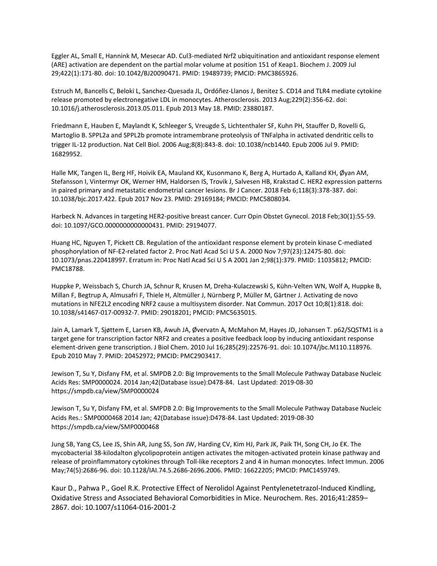Eggler AL, Small E, Hannink M, Mesecar AD. Cul3-mediated Nrf2 ubiquitination and antioxidant response element (ARE) activation are dependent on the partial molar volume at position 151 of Keap1. Biochem J. 2009 Jul 29;422(1):171-80. doi: 10.1042/BJ20090471. PMID: 19489739; PMCID: PMC3865926.

Estruch M, Bancells C, Beloki L, Sanchez-Quesada JL, Ordóñez-Llanos J, Benitez S. CD14 and TLR4 mediate cytokine release promoted by electronegative LDL in monocytes. Atherosclerosis. 2013 Aug;229(2):356-62. doi: 10.1016/j.atherosclerosis.2013.05.011. Epub 2013 May 18. PMID: 23880187.

Friedmann E, Hauben E, Maylandt K, Schleeger S, Vreugde S, Lichtenthaler SF, Kuhn PH, Stauffer D, Rovelli G, Martoglio B. SPPL2a and SPPL2b promote intramembrane proteolysis of TNFalpha in activated dendritic cells to trigger IL-12 production. Nat Cell Biol. 2006 Aug;8(8):843-8. doi: 10.1038/ncb1440. Epub 2006 Jul 9. PMID: 16829952.

Halle MK, Tangen IL, Berg HF, Hoivik EA, Mauland KK, Kusonmano K, Berg A, Hurtado A, Kalland KH, Øyan AM, Stefansson I, Vintermyr OK, Werner HM, Haldorsen IS, Trovik J, Salvesen HB, Krakstad C. HER2 expression patterns in paired primary and metastatic endometrial cancer lesions. Br J Cancer. 2018 Feb 6;118(3):378-387. doi: 10.1038/bjc.2017.422. Epub 2017 Nov 23. PMID: 29169184; PMCID: PMC5808034.

Harbeck N. Advances in targeting HER2-positive breast cancer. Curr Opin Obstet Gynecol. 2018 Feb;30(1):55-59. doi: 10.1097/GCO.0000000000000431. PMID: 29194077.

Huang HC, Nguyen T, Pickett CB. Regulation of the antioxidant response element by protein kinase C-mediated phosphorylation of NF-E2-related factor 2. Proc Natl Acad Sci U S A. 2000 Nov 7;97(23):12475-80. doi: 10.1073/pnas.220418997. Erratum in: Proc Natl Acad Sci U S A 2001 Jan 2;98(1):379. PMID: 11035812; PMCID: PMC18788.

Huppke P, Weissbach S, Church JA, Schnur R, Krusen M, Dreha-Kulaczewski S, Kühn-Velten WN, Wolf A, Huppke B, Millan F, Begtrup A, Almusafri F, Thiele H, Altmüller J, Nürnberg P, Müller M, Gärtner J. Activating de novo mutations in NFE2L2 encoding NRF2 cause a multisystem disorder. Nat Commun. 2017 Oct 10;8(1):818. doi: 10.1038/s41467-017-00932-7. PMID: 29018201; PMCID: PMC5635015.

Jain A, Lamark T, Sjøttem E, Larsen KB, Awuh JA, Øvervatn A, McMahon M, Hayes JD, Johansen T. p62/SQSTM1 is a target gene for transcription factor NRF2 and creates a positive feedback loop by inducing antioxidant response element-driven gene transcription. J Biol Chem. 2010 Jul 16;285(29):22576-91. doi: 10.1074/jbc.M110.118976. Epub 2010 May 7. PMID: 20452972; PMCID: PMC2903417.

Jewison T, Su Y, Disfany FM, et al. SMPDB 2.0: Big Improvements to the Small Molecule Pathway Database Nucleic Acids Res: SMP0000024. 2014 Jan;42(Database issue):D478-84. Last Updated: 2019-08-30 https://smpdb.ca/view/SMP0000024

Jewison T, Su Y, Disfany FM, et al. SMPDB 2.0: Big Improvements to the Small Molecule Pathway Database Nucleic Acids Res.: SMP0000468 2014 Jan; 42(Database issue):D478-84. Last Updated: 2019-08-30 https://smpdb.ca/view/SMP0000468

Jung SB, Yang CS, Lee JS, Shin AR, Jung SS, Son JW, Harding CV, Kim HJ, Park JK, Paik TH, Song CH, Jo EK. The mycobacterial 38-kilodalton glycolipoprotein antigen activates the mitogen-activated protein kinase pathway and release of proinflammatory cytokines through Toll-like receptors 2 and 4 in human monocytes. Infect Immun. 2006 May;74(5):2686-96. doi: 10.1128/IAI.74.5.2686-2696.2006. PMID: 16622205; PMCID: PMC1459749.

Kaur D., Pahwa P., Goel R.K. Protective Effect of Nerolidol Against Pentylenetetrazol-Induced Kindling, Oxidative Stress and Associated Behavioral Comorbidities in Mice. Neurochem. Res. 2016;41:2859– 2867. doi: 10.1007/s11064-016-2001-2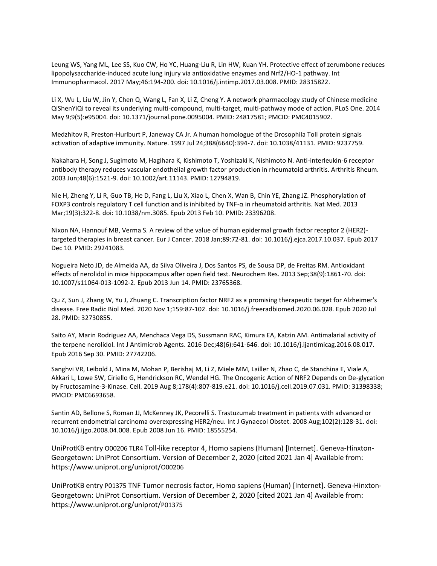Leung WS, Yang ML, Lee SS, Kuo CW, Ho YC, Huang-Liu R, Lin HW, Kuan YH. Protective effect of zerumbone reduces lipopolysaccharide-induced acute lung injury via antioxidative enzymes and Nrf2/HO-1 pathway. Int Immunopharmacol. 2017 May;46:194-200. doi: 10.1016/j.intimp.2017.03.008. PMID: 28315822.

Li X, Wu L, Liu W, Jin Y, Chen Q, Wang L, Fan X, Li Z, Cheng Y. A network pharmacology study of Chinese medicine QiShenYiQi to reveal its underlying multi-compound, multi-target, multi-pathway mode of action. PLoS One. 2014 May 9;9(5):e95004. doi: 10.1371/journal.pone.0095004. PMID: 24817581; PMCID: PMC4015902.

Medzhitov R, Preston-Hurlburt P, Janeway CA Jr. A human homologue of the Drosophila Toll protein signals activation of adaptive immunity. Nature. 1997 Jul 24;388(6640):394-7. doi: 10.1038/41131. PMID: 9237759.

Nakahara H, Song J, Sugimoto M, Hagihara K, Kishimoto T, Yoshizaki K, Nishimoto N. Anti-interleukin-6 receptor antibody therapy reduces vascular endothelial growth factor production in rheumatoid arthritis. Arthritis Rheum. 2003 Jun;48(6):1521-9. doi: 10.1002/art.11143. PMID: 12794819.

Nie H, Zheng Y, Li R, Guo TB, He D, Fang L, Liu X, Xiao L, Chen X, Wan B, Chin YE, Zhang JZ. Phosphorylation of FOXP3 controls regulatory T cell function and is inhibited by TNF-α in rheumatoid arthritis. Nat Med. 2013 Mar;19(3):322-8. doi: 10.1038/nm.3085. Epub 2013 Feb 10. PMID: 23396208.

Nixon NA, Hannouf MB, Verma S. A review of the value of human epidermal growth factor receptor 2 (HER2) targeted therapies in breast cancer. Eur J Cancer. 2018 Jan;89:72-81. doi: 10.1016/j.ejca.2017.10.037. Epub 2017 Dec 10. PMID: 29241083.

Nogueira Neto JD, de Almeida AA, da Silva Oliveira J, Dos Santos PS, de Sousa DP, de Freitas RM. Antioxidant effects of nerolidol in mice hippocampus after open field test. Neurochem Res. 2013 Sep;38(9):1861-70. doi: 10.1007/s11064-013-1092-2. Epub 2013 Jun 14. PMID: 23765368.

Qu Z, Sun J, Zhang W, Yu J, Zhuang C. Transcription factor NRF2 as a promising therapeutic target for Alzheimer's disease. Free Radic Biol Med. 2020 Nov 1;159:87-102. doi: 10.1016/j.freeradbiomed.2020.06.028. Epub 2020 Jul 28. PMID: 32730855.

Saito AY, Marin Rodriguez AA, Menchaca Vega DS, Sussmann RAC, Kimura EA, Katzin AM. Antimalarial activity of the terpene nerolidol. Int J Antimicrob Agents. 2016 Dec;48(6):641-646. doi: 10.1016/j.ijantimicag.2016.08.017. Epub 2016 Sep 30. PMID: 27742206.

Sanghvi VR, Leibold J, Mina M, Mohan P, Berishaj M, Li Z, Miele MM, Lailler N, Zhao C, de Stanchina E, Viale A, Akkari L, Lowe SW, Ciriello G, Hendrickson RC, Wendel HG. The Oncogenic Action of NRF2 Depends on De-glycation by Fructosamine-3-Kinase. Cell. 2019 Aug 8;178(4):807-819.e21. doi: 10.1016/j.cell.2019.07.031. PMID: 31398338; PMCID: PMC6693658.

Santin AD, Bellone S, Roman JJ, McKenney JK, Pecorelli S. Trastuzumab treatment in patients with advanced or recurrent endometrial carcinoma overexpressing HER2/neu. Int J Gynaecol Obstet. 2008 Aug;102(2):128-31. doi: 10.1016/j.ijgo.2008.04.008. Epub 2008 Jun 16. PMID: 18555254.

UniProtKB entry O00206 TLR4 Toll-like receptor 4, Homo sapiens (Human) [Internet]. Geneva-Hinxton-Georgetown: UniProt Consortium. Version of December 2, 2020 [cited 2021 Jan 4] Available from: https://www.uniprot.org/uniprot/O00206

UniProtKB entry P01375 TNF Tumor necrosis factor, Homo sapiens (Human) [Internet]. Geneva-Hinxton-Georgetown: UniProt Consortium. Version of December 2, 2020 [cited 2021 Jan 4] Available from: https://www.uniprot.org/uniprot/P01375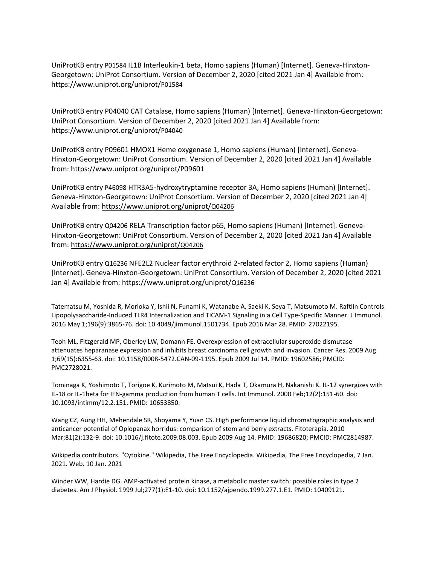UniProtKB entry P01584 IL1B Interleukin-1 beta, Homo sapiens (Human) [Internet]. Geneva-Hinxton-Georgetown: UniProt Consortium. Version of December 2, 2020 [cited 2021 Jan 4] Available from: https://www.uniprot.org/uniprot/P01584

UniProtKB entry P04040 CAT Catalase, Homo sapiens (Human) [Internet]. Geneva-Hinxton-Georgetown: UniProt Consortium. Version of December 2, 2020 [cited 2021 Jan 4] Available from: https://www.uniprot.org/uniprot/P04040

UniProtKB entry P09601 HMOX1 Heme oxygenase 1, Homo sapiens (Human) [Internet]. Geneva-Hinxton-Georgetown: UniProt Consortium. Version of December 2, 2020 [cited 2021 Jan 4] Available from: https://www.uniprot.org/uniprot/P09601

UniProtKB entry P46098 HTR3A5-hydroxytryptamine receptor 3A, Homo sapiens (Human) [Internet]. Geneva-Hinxton-Georgetown: UniProt Consortium. Version of December 2, 2020 [cited 2021 Jan 4] Available from: [https://www.uniprot.org/uniprot/](https://www.uniprot.org/uniprot/Q04206)[Q04206](https://www.uniprot.org/uniprot/Q04206)

UniProtKB entry Q04206 RELA Transcription factor p65, Homo sapiens (Human) [Internet]. Geneva-Hinxton-Georgetown: UniProt Consortium. Version of December 2, 2020 [cited 2021 Jan 4] Available from: [https://www.uniprot.org/uniprot/](https://www.uniprot.org/uniprot/Q04206)[Q04206](https://www.uniprot.org/uniprot/Q04206)

UniProtKB entry Q16236 NFE2L2 Nuclear factor erythroid 2-related factor 2, Homo sapiens (Human) [Internet]. Geneva-Hinxton-Georgetown: UniProt Consortium. Version of December 2, 2020 [cited 2021 Jan 4] Available from: https://www.uniprot.org/uniprot/Q16236

Tatematsu M, Yoshida R, Morioka Y, Ishii N, Funami K, Watanabe A, Saeki K, Seya T, Matsumoto M. Raftlin Controls Lipopolysaccharide-Induced TLR4 Internalization and TICAM-1 Signaling in a Cell Type-Specific Manner. J Immunol. 2016 May 1;196(9):3865-76. doi: 10.4049/jimmunol.1501734. Epub 2016 Mar 28. PMID: 27022195.

Teoh ML, Fitzgerald MP, Oberley LW, Domann FE. Overexpression of extracellular superoxide dismutase attenuates heparanase expression and inhibits breast carcinoma cell growth and invasion. Cancer Res. 2009 Aug 1;69(15):6355-63. doi: 10.1158/0008-5472.CAN-09-1195. Epub 2009 Jul 14. PMID: 19602586; PMCID: PMC2728021.

Tominaga K, Yoshimoto T, Torigoe K, Kurimoto M, Matsui K, Hada T, Okamura H, Nakanishi K. IL-12 synergizes with IL-18 or IL-1beta for IFN-gamma production from human T cells. Int Immunol. 2000 Feb;12(2):151-60. doi: 10.1093/intimm/12.2.151. PMID: 10653850.

Wang CZ, Aung HH, Mehendale SR, Shoyama Y, Yuan CS. High performance liquid chromatographic analysis and anticancer potential of Oplopanax horridus: comparison of stem and berry extracts. Fitoterapia. 2010 Mar;81(2):132-9. doi: 10.1016/j.fitote.2009.08.003. Epub 2009 Aug 14. PMID: 19686820; PMCID: PMC2814987.

Wikipedia contributors. "Cytokine." Wikipedia, The Free Encyclopedia. Wikipedia, The Free Encyclopedia, 7 Jan. 2021. Web. 10 Jan. 2021

Winder WW, Hardie DG. AMP-activated protein kinase, a metabolic master switch: possible roles in type 2 diabetes. Am J Physiol. 1999 Jul;277(1):E1-10. doi: 10.1152/ajpendo.1999.277.1.E1. PMID: 10409121.